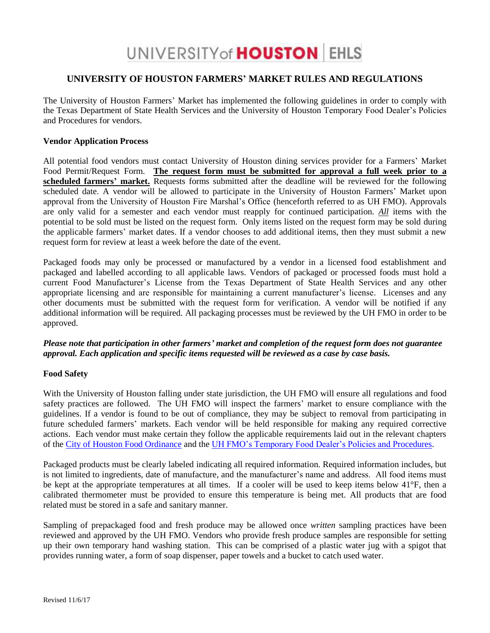# UNIVERSITY of **HOUSTON** EHLS

## **UNIVERSITY OF HOUSTON FARMERS' MARKET RULES AND REGULATIONS**

The University of Houston Farmers' Market has implemented the following guidelines in order to comply with the Texas Department of State Health Services and the University of Houston Temporary Food Dealer's Policies and Procedures for vendors.

#### **Vendor Application Process**

All potential food vendors must contact University of Houston dining services provider for a Farmers' Market Food Permit/Request Form. **The request form must be submitted for approval a full week prior to a scheduled farmers' market.** Requests forms submitted after the deadline will be reviewed for the following scheduled date. A vendor will be allowed to participate in the University of Houston Farmers' Market upon approval from the University of Houston Fire Marshal's Office (henceforth referred to as UH FMO). Approvals are only valid for a semester and each vendor must reapply for continued participation. *All* items with the potential to be sold must be listed on the request form. Only items listed on the request form may be sold during the applicable farmers' market dates. If a vendor chooses to add additional items, then they must submit a new request form for review at least a week before the date of the event.

Packaged foods may only be processed or manufactured by a vendor in a licensed food establishment and packaged and labelled according to all applicable laws. Vendors of packaged or processed foods must hold a current Food Manufacturer's License from the Texas Department of State Health Services and any other appropriate licensing and are responsible for maintaining a current manufacturer's license. Licenses and any other documents must be submitted with the request form for verification. A vendor will be notified if any additional information will be required. All packaging processes must be reviewed by the UH FMO in order to be approved.

## *Please note that participation in other farmers' market and completion of the request form does not guarantee approval. Each application and specific items requested will be reviewed as a case by case basis.*

## **Food Safety**

With the University of Houston falling under state jurisdiction, the UH FMO will ensure all regulations and food safety practices are followed. The UH FMO will inspect the farmers' market to ensure compliance with the guidelines. If a vendor is found to be out of compliance, they may be subject to removal from participating in future scheduled farmers' markets. Each vendor will be held responsible for making any required corrective actions. Each vendor must make certain they follow the applicable requirements laid out in the relevant chapters of the [City of Houston Food Ordinance](https://library.municode.com/tx/houston/codes/code_of_ordinances) and the [UH FMO's Temporary Food Dealer's Policies and Procedures.](http://www.uh.edu/ehls/general/food-safety/temp-dealer/policy/UH%20Temporary%20Food%20Dealers%20Policy.pdf)

Packaged products must be clearly labeled indicating all required information. Required information includes, but is not limited to ingredients, date of manufacture, and the manufacturer's name and address. All food items must be kept at the appropriate temperatures at all times. If a cooler will be used to keep items below 41°F, then a calibrated thermometer must be provided to ensure this temperature is being met. All products that are food related must be stored in a safe and sanitary manner.

Sampling of prepackaged food and fresh produce may be allowed once *written* sampling practices have been reviewed and approved by the UH FMO. Vendors who provide fresh produce samples are responsible for setting up their own temporary hand washing station. This can be comprised of a plastic water jug with a spigot that provides running water, a form of soap dispenser, paper towels and a bucket to catch used water.